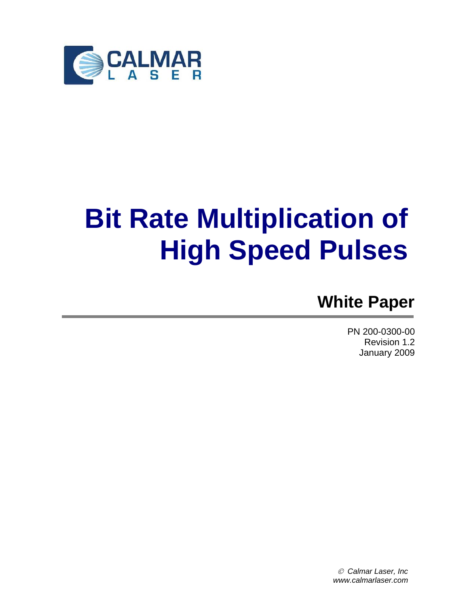

# **Bit Rate Multiplication of High Speed Pulses**

## **White Paper**

PN 200-0300-00 Revision 1.2 January 2009

© *Calmar Laser, Inc www.calmarlaser.com*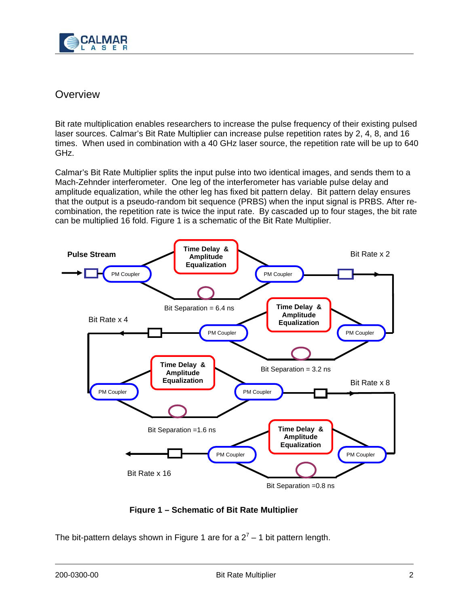

#### **Overview**

Bit rate multiplication enables researchers to increase the pulse frequency of their existing pulsed laser sources. Calmar's Bit Rate Multiplier can increase pulse repetition rates by 2, 4, 8, and 16 times. When used in combination with a 40 GHz laser source, the repetition rate will be up to 640 GHz.

Calmar's Bit Rate Multiplier splits the input pulse into two identical images, and sends them to a Mach-Zehnder interferometer. One leg of the interferometer has variable pulse delay and amplitude equalization, while the other leg has fixed bit pattern delay. Bit pattern delay ensures that the output is a pseudo-random bit sequence (PRBS) when the input signal is PRBS. After recombination, the repetition rate is twice the input rate. By cascaded up to four stages, the bit rate can be multiplied 16 fold. Figure 1 is a schematic of the Bit Rate Multiplier.



**Figure 1 – Schematic of Bit Rate Multiplier**

The bit-pattern delays shown in Figure 1 are for a  $2^7$  – 1 bit pattern length.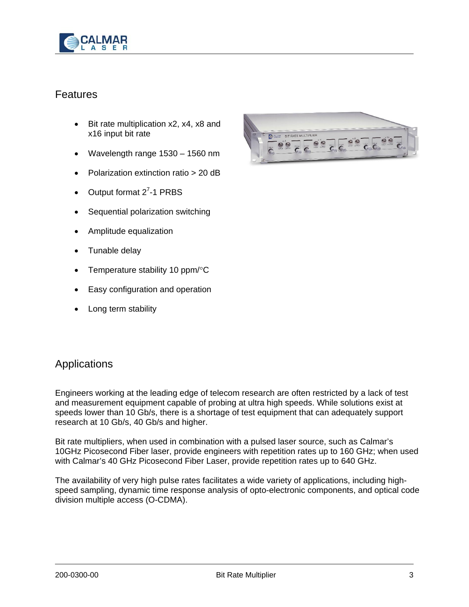

#### **Features**

- Bit rate multiplication x2, x4, x8 and x16 input bit rate
- Wavelength range 1530 1560 nm
- Polarization extinction ratio > 20 dB
- Output format  $2^7$ -1 PRBS
- Sequential polarization switching
- Amplitude equalization
- Tunable delay
- Temperature stability 10 ppm/°C
- Easy configuration and operation
- Long term stability



#### **Applications**

Engineers working at the leading edge of telecom research are often restricted by a lack of test and measurement equipment capable of probing at ultra high speeds. While solutions exist at speeds lower than 10 Gb/s, there is a shortage of test equipment that can adequately support research at 10 Gb/s, 40 Gb/s and higher.

Bit rate multipliers, when used in combination with a pulsed laser source, such as Calmar's 10GHz Picosecond Fiber laser, provide engineers with repetition rates up to 160 GHz; when used with Calmar's 40 GHz Picosecond Fiber Laser, provide repetition rates up to 640 GHz.

The availability of very high pulse rates facilitates a wide variety of applications, including highspeed sampling, dynamic time response analysis of opto-electronic components, and optical code division multiple access (O-CDMA).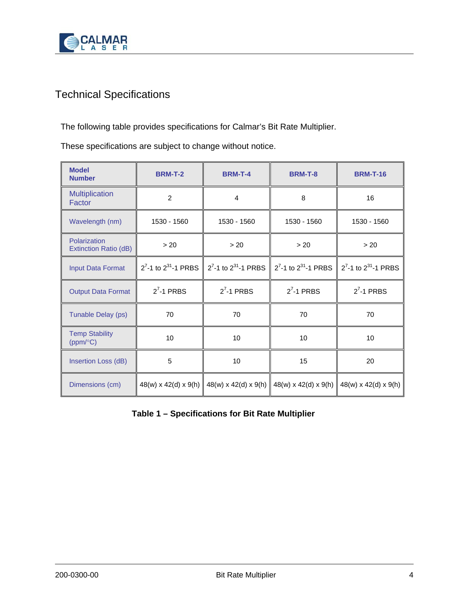

### Technical Specifications

The following table provides specifications for Calmar's Bit Rate Multiplier.

These specifications are subject to change without notice.

| <b>Model</b><br><b>Number</b>         | <b>BRM-T-2</b> | <b>BRM-T-4</b>                                                      | <b>BRM-T-8</b>                   | <b>BRM-T-16</b>                                                     |
|---------------------------------------|----------------|---------------------------------------------------------------------|----------------------------------|---------------------------------------------------------------------|
| <b>Multiplication</b><br>Factor       | $\overline{2}$ | 4                                                                   | 8                                | 16                                                                  |
| Wavelength (nm)                       | 1530 - 1560    | 1530 - 1560                                                         | 1530 - 1560                      | 1530 - 1560                                                         |
| Polarization<br>Extinction Ratio (dB) | > 20           | > 20                                                                | > 20                             | > 20                                                                |
| <b>Input Data Format</b>              |                | $2^7$ -1 to $2^{31}$ -1 PRBS $\parallel 2^7$ -1 to $2^{31}$ -1 PRBS |                                  | $2^7$ -1 to $2^{31}$ -1 PRBS $\parallel 2^7$ -1 to $2^{31}$ -1 PRBS |
| <b>Output Data Format</b>             | $2^7 - 1$ PRBS | $27$ -1 PRBS                                                        | $27$ -1 PRBS                     | $27$ -1 PRBS                                                        |
| Tunable Delay (ps)                    | 70             | 70                                                                  | 70                               | 70                                                                  |
| <b>Temp Stability</b><br>(ppm/°C)     | 10             | 10                                                                  | 10                               | 10                                                                  |
| Insertion Loss (dB)                   | 5              | 10                                                                  | 15                               | 20                                                                  |
| Dimensions (cm)                       |                | 48(w) x 42(d) x 9(h) $\parallel$ 48(w) x 42(d) x 9(h)               | $48(w) \times 42(d) \times 9(h)$ | $48(w) \times 42(d) \times 9(h)$                                    |

**Table 1 – Specifications for Bit Rate Multiplier**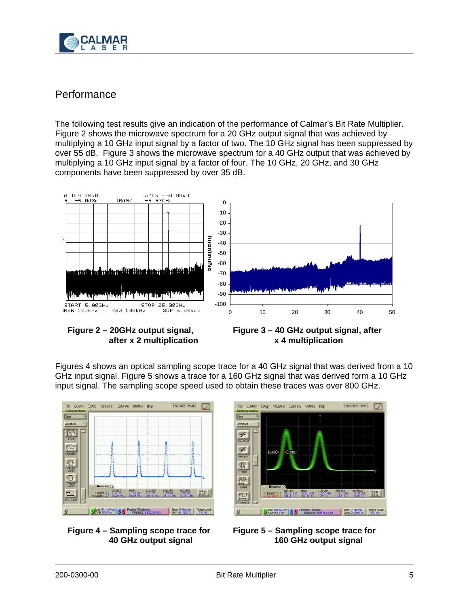

#### **Performance**

The following test results give an indication of the performance of Calmar's Bit Rate Multiplier. Figure 2 shows the microwave spectrum for a 20 GHz output signal that was achieved by multiplying a 10 GHz input signal by a factor of two. The 10 GHz signal has been suppressed by over 55 dB. Figure 3 shows the microwave spectrum for a 40 GHz output that was achieved by multiplying a 10 GHz input signal by a factor of four. The 10 GHz, 20 GHz, and 30 GHz components have been suppressed by over 35 dB.







Figures 4 shows an optical sampling scope trace for a 40 GHz signal that was derived from a 10 GHz input signal. Figure 5 shows a trace for a 160 GHz signal that was derived form a 10 GHz input signal. The sampling scope speed used to obtain these traces was over 800 GHz.







**Figure 5 – Sampling scope trace for 160 GHz output signal**